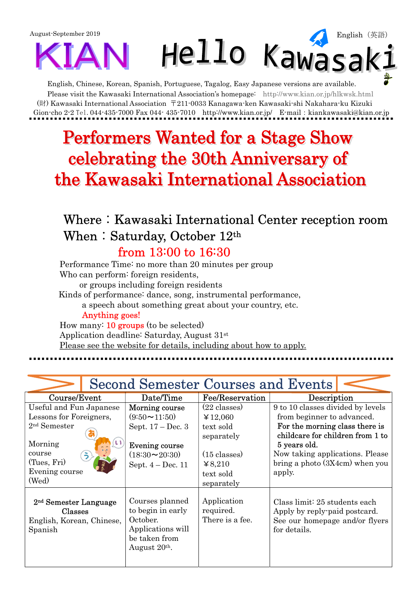

English, Chinese, Korean, Spanish, Portuguese, Tagalog, Easy Japanese versions are available. Please visit the Kawasaki International Association's homepage: http://www.kian.or.jp/hlkwsk.html (財) Kawasaki International Association 〒211-0033 Kanagawa-ken Kawasaki-shi Nakahara-ku Kizuki Gion-cho 2-2 Tel.044-435-7000 Fax 044-435-7010 http://www.kian.or.jp/ E-mail: kiankawasaki@kian.or.jp

## **Performers Wanted for a Stage Show** celebrating the 30th Anniversary of the Kawasaki International Association

## Where: Kawasaki International Center reception room When: Saturday, October 12th from 13:00 to 16:30

Performance Time: no more than 20 minutes per group Who can perform: foreign residents, or groups including foreign residents Kinds of performance: dance, song, instrumental performance, a speech about something great about your country, etc. Anything goes! How many: 10 groups (to be selected) Application deadline: Saturday, August 31st

Please see the website for details, including about how to apply.

| <b>Second Semester Courses and Events</b>                                                                                           |                                                                                                                                           |                                                                                                                              |                                                                                                                                                                                                                                        |  |  |  |  |  |
|-------------------------------------------------------------------------------------------------------------------------------------|-------------------------------------------------------------------------------------------------------------------------------------------|------------------------------------------------------------------------------------------------------------------------------|----------------------------------------------------------------------------------------------------------------------------------------------------------------------------------------------------------------------------------------|--|--|--|--|--|
| Course/Event                                                                                                                        | Date/Time                                                                                                                                 | Fee/Reservation                                                                                                              | Description                                                                                                                                                                                                                            |  |  |  |  |  |
| Useful and Fun Japanese<br>Lessons for Foreigners,<br>$2nd$ Semester<br>Morning<br>course<br>(Tues, Fri)<br>Evening course<br>(Wed) | Morning course<br>$(9:50 \rightarrow 11:50)$<br>Sept. 17 – Dec. 3<br>Evening course<br>$(18:30 \rightarrow 20:30)$<br>Sept. $4 - Dec.$ 11 | $(22 \text{ classes})$<br>¥ 12,060<br>text sold<br>separately<br>$(15 \text{ classes})$<br>48,210<br>text sold<br>separately | 9 to 10 classes divided by levels<br>from beginner to advanced.<br>For the morning class there is<br>childcare for children from 1 to<br>5 years old.<br>Now taking applications. Please<br>bring a photo $(3X4cm)$ when you<br>apply. |  |  |  |  |  |
| 2 <sup>nd</sup> Semester Language<br>Classes<br>English, Korean, Chinese,<br>Spanish                                                | Courses planned<br>to begin in early<br>October.<br>Applications will<br>be taken from<br>August 20 <sup>th</sup> .                       | Application<br>required.<br>There is a fee.                                                                                  | Class limit: 25 students each<br>Apply by reply-paid postcard.<br>See our homepage and/or flyers<br>for details.                                                                                                                       |  |  |  |  |  |